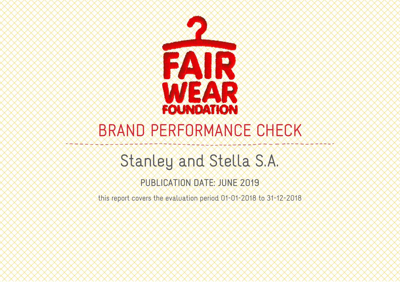

# BRAND PERFORMANCE CHECK

## Stanley and Stella S.A.

PUBLICATION DATE: JUNE 2019

this report covers the evaluation period 01-01-2018 to 31-12-2018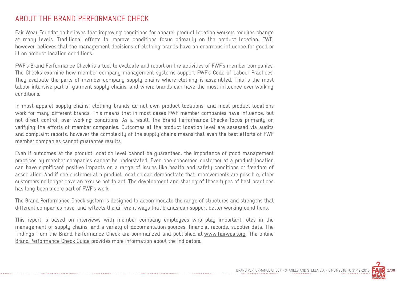#### ABOUT THE BRAND PERFORMANCE CHECK

Fair Wear Foundation believes that improving conditions for apparel product location workers requires change at many levels. Traditional efforts to improve conditions focus primarily on the product location. FWF, however, believes that the management decisions of clothing brands have an enormous influence for good or ill on product location conditions.

FWF's Brand Performance Check is a tool to evaluate and report on the activities of FWF's member companies. The Checks examine how member company management systems support FWF's Code of Labour Practices. They evaluate the parts of member company supply chains where clothing is assembled. This is the most labour intensive part of garment supply chains, and where brands can have the most influence over working conditions.

In most apparel supply chains, clothing brands do not own product locations, and most product locations work for many different brands. This means that in most cases FWF member companies have influence, but not direct control, over working conditions. As a result, the Brand Performance Checks focus primarily on verifying the efforts of member companies. Outcomes at the product location level are assessed via audits and complaint reports, however the complexity of the supply chains means that even the best efforts of FWF member companies cannot guarantee results.

Even if outcomes at the product location level cannot be guaranteed, the importance of good management practices by member companies cannot be understated. Even one concerned customer at a product location can have significant positive impacts on a range of issues like health and safety conditions or freedom of association. And if one customer at a product location can demonstrate that improvements are possible, other customers no longer have an excuse not to act. The development and sharing of these types of best practices has long been a core part of FWF's work.

The Brand Performance Check system is designed to accommodate the range of structures and strengths that different companies have, and reflects the different ways that brands can support better working conditions.

This report is based on interviews with member company employees who play important roles in the management of supply chains, and a variety of documentation sources, financial records, supplier data. The findings from the Brand Performance Check are summarized and published at www.fairwear.org. The online Brand Performance Check Guide provides more information about the indicators.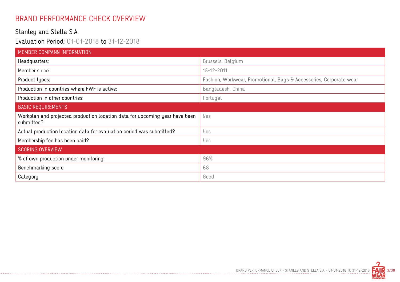#### BRAND PERFORMANCE CHECK OVERVIEW

#### Stanley and Stella S.A.

Evaluation Period: 01-01-2018 to 31-12-2018

| MEMBER COMPANY INFORMATION                                                                |                                                                    |
|-------------------------------------------------------------------------------------------|--------------------------------------------------------------------|
| Headquarters:                                                                             | Brussels, Belgium                                                  |
| Member since:                                                                             | 15-12-2011                                                         |
| Product types:                                                                            | Fashion, Workwear, Promotional, Bags & Accessories, Corporate wear |
| Production in countries where FWF is active:                                              | Bangladesh, China                                                  |
| Production in other countries:                                                            | Portugal                                                           |
| <b>BASIC REQUIREMENTS</b>                                                                 |                                                                    |
| Workplan and projected production location data for upcoming year have been<br>submitted? | Yes                                                                |
| Actual production location data for evaluation period was submitted?                      | Yes                                                                |
| Membership fee has been paid?                                                             | Yes                                                                |
| <b>SCORING OVERVIEW</b>                                                                   |                                                                    |
| % of own production under monitoring                                                      | 96%                                                                |
| Benchmarking score                                                                        | 68                                                                 |
| Category                                                                                  | Good                                                               |

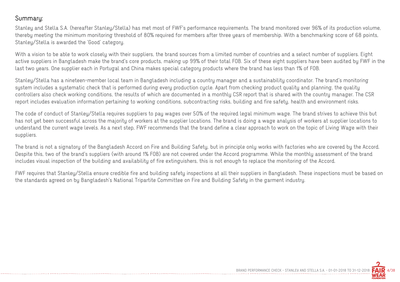#### Summary:

Stanley and Stella S.A. (hereafter Stanley/Stella) has met most of FWF's performance requirements. The brand monitored over 96% of its production volume, thereby meeting the minimum monitoring threshold of 80% required for members after three years of membership. With a benchmarking score of 68 points, Stanley/Stella is awarded the 'Good' category.

With a vision to be able to work closely with their suppliers, the brand sources from a limited number of countries and a select number of suppliers. Eight active suppliers in Bangladesh make the brand's core products, making up 99% of their total FOB. Six of these eight suppliers have been audited by FWF in the last two years. One supplier each in Portugal and China makes special category products where the brand has less than 1% of FOB.

Stanley/Stella has a nineteen-member local team in Bangladesh including a country manager and a sustainability coordinator. The brand's monitoring system includes a systematic check that is performed during every production cycle. Apart from checking product quality and planning, the quality controllers also check working conditions, the results of which are documented in a monthly CSR report that is shared with the country manager. The CSR report includes evaluation information pertaining to working conditions, subcontracting risks, building and fire safety, health and environment risks.

The code of conduct of Stanley/Stella requires suppliers to pay wages over 50% of the required legal minimum wage. The brand strives to achieve this but has not yet been successful across the majority of workers at the supplier locations. The brand is doing a wage analysis of workers at supplier locations to understand the current wage levels. As a next step, FWF recommends that the brand define a clear approach to work on the topic of Living Wage with their suppliers.

The brand is not a signatory of the Bangladesh Accord on Fire and Building Safety, but in principle only works with factories who are covered by the Accord. Despite this, two of the brand's suppliers (with around 1% FOB) are not covered under the Accord programme. While the monthly assessment of the brand includes visual inspection of the building and availability of fire extinguishers, this is not enough to replace the monitoring of the Accord.

FWF requires that Stanley/Stella ensure credible fire and building safety inspections at all their suppliers in Bangladesh. These inspections must be based on the standards agreed on by Bangladesh's National Tripartite Committee on Fire and Building Safety in the garment industry.

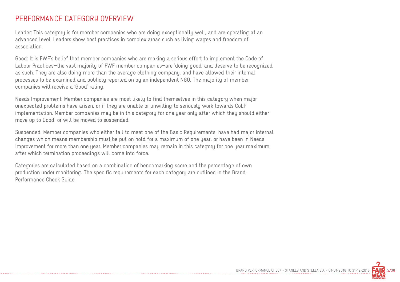#### PERFORMANCE CATEGORY OVERVIEW

Leader: This category is for member companies who are doing exceptionally well, and are operating at an advanced level. Leaders show best practices in complex areas such as living wages and freedom of association.

Good: It is FWF's belief that member companies who are making a serious effort to implement the Code of Labour Practices—the vast majority of FWF member companies—are 'doing good' and deserve to be recognized as such. They are also doing more than the average clothing company, and have allowed their internal processes to be examined and publicly reported on by an independent NGO. The majority of member companies will receive a 'Good' rating.

Needs Improvement: Member companies are most likely to find themselves in this category when major unexpected problems have arisen, or if they are unable or unwilling to seriously work towards CoLP implementation. Member companies may be in this category for one year only after which they should either move up to Good, or will be moved to suspended.

Suspended: Member companies who either fail to meet one of the Basic Requirements, have had major internal changes which means membership must be put on hold for a maximum of one year, or have been in Needs Improvement for more than one year. Member companies may remain in this category for one year maximum, after which termination proceedings will come into force.

Categories are calculated based on a combination of benchmarking score and the percentage of own production under monitoring. The specific requirements for each category are outlined in the Brand Performance Check Guide.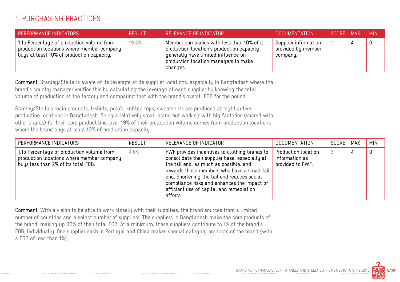#### 1. PURCHASING PRACTICES

| PERFORMANCE INDICATORS                                                                                                              | <b>RESULT</b> | RELEVANCE OF INDICATOR                                                                                                                                                           | <b>DOCUMENTATION</b>                                   | SCORE MAX | <b>MIN</b> |
|-------------------------------------------------------------------------------------------------------------------------------------|---------------|----------------------------------------------------------------------------------------------------------------------------------------------------------------------------------|--------------------------------------------------------|-----------|------------|
| 1.1a Percentage of production volume from<br>production locations where member company<br>buys at least 10% of production capacity. | 19.5%         | Member companies with less than 10% of a<br>production location's production capacity<br>generally have limited influence on<br>production location managers to make<br>changes. | Supplier information<br>provided by member<br>company. |           |            |

Comment: Stanley/Stella is aware of its leverage at its supplier locations, especially in Bangladesh where the brand's country manager verifies this by calculating the leverage at each supplier by knowing the total volume of production at the factory and comparing that with the brand's overall FOB for the period.

Stanley/Stella's main products, t-shirts, polo's, knitted tops, sweatshirts are produced at eight active production locations in Bangladesh. Being a relatively small brand but working with big factories (shared with other brands) for their core product line, over 19% of their production volume comes from production locations where the brand buys at least 10% of production capacity.

| PERFORMANCE INDICATORS                                                                                                        | <b>RESULT</b> | RELEVANCE OF INDICATOR                                                                                                                                                                                                                                                                                                                         | <b>DOCUMENTATION</b>                                      | SCORE | MAX | <b>MIN</b> |
|-------------------------------------------------------------------------------------------------------------------------------|---------------|------------------------------------------------------------------------------------------------------------------------------------------------------------------------------------------------------------------------------------------------------------------------------------------------------------------------------------------------|-----------------------------------------------------------|-------|-----|------------|
| 1.1b Percentage of production volume from<br>production locations where member company<br>buys less than 2% of its total FOB. | 4.6%          | FWF provides incentives to clothing brands to<br>consolidate their supplier base, especially at<br>the tail end, as much as possible, and<br>rewards those members who have a small tail<br>end. Shortening the tail end reduces social<br>compliance risks and enhances the impact of<br>efficient use of capital and remediation<br>efforts. | Production location<br>information as<br>provided to FWF. |       |     |            |

Comment: With a vision to be able to work closely with their suppliers, the brand sources from a limited number of countries and a select number of suppliers. The suppliers in Bangladesh make the core products of the brand, making up 99% of their total FOB. At a minimum, these suppliers contribute to 1% of the brand's FOB, individually. One supplier each in Portugal and China makes special category products of the brand (with a FOB of less than 1%).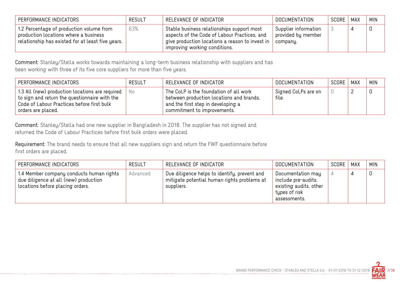| PERFORMANCE INDICATORS                                                                                                                 | <b>RESULT</b> | RELEVANCE OF INDICATOR                                                                                                                                                         | DOCUMENTATION                                          | SCORE | MAX | <b>MIN</b> |
|----------------------------------------------------------------------------------------------------------------------------------------|---------------|--------------------------------------------------------------------------------------------------------------------------------------------------------------------------------|--------------------------------------------------------|-------|-----|------------|
| 1.2 Percentage of production volume from<br>production locations where a business<br>relationship has existed for at least five years. | 63%           | Stable business relationships support most<br>aspects of the Code of Labour Practices, and<br>give production locations a reason to invest in<br>improving working conditions. | Supplier information<br>provided by member<br>company. |       |     |            |

Comment: Stanley/Stella works towards maintaining a long-term business relationship with suppliers and has been working with three of its five core suppliers for more than five years.

| PERFORMANCE INDICATORS                                                                                                                                               | <b>RESULT</b> | RELEVANCE OF INDICATOR                                                                                                                                  | DOCUMENTATION                | SCORE | MAX | <b>MIN</b> |
|----------------------------------------------------------------------------------------------------------------------------------------------------------------------|---------------|---------------------------------------------------------------------------------------------------------------------------------------------------------|------------------------------|-------|-----|------------|
| 1.3 All (new) production locations are required<br>to sign and return the questionnaire with the<br>Code of Labour Practices before first bulk<br>orders are placed. | No.           | The CoLP is the foundation of all work<br>between production locations and brands,<br>and the first step in developing a<br>commitment to improvements. | Signed CoLPs are on<br>file. |       |     |            |

Comment: Stanley/Stella had one new supplier in Bangladesh in 2018. The supplier has not signed and returned the Code of Labour Practices before first bulk orders were placed.

Requirement: The brand needs to ensure that all new suppliers sign and return the FWF questionnaire before first orders are placed.

| PERFORMANCE INDICATORS                                                                                                | <b>RESULT</b> | RELEVANCE OF INDICATOR                                                                                    | <b>DOCUMENTATION</b>                                                                                | SCORE | MAX | <b>MIN</b> |
|-----------------------------------------------------------------------------------------------------------------------|---------------|-----------------------------------------------------------------------------------------------------------|-----------------------------------------------------------------------------------------------------|-------|-----|------------|
| 1.4 Member company conducts human rights<br>due diligence at all (new) production<br>locations before placing orders. | Advanced      | Due diligence helps to identify, prevent and<br>mitigate potential human rights problems at<br>suppliers. | Documentation may<br>include pre-audits,<br>existing audits, other<br>types of risk<br>assessments. |       |     |            |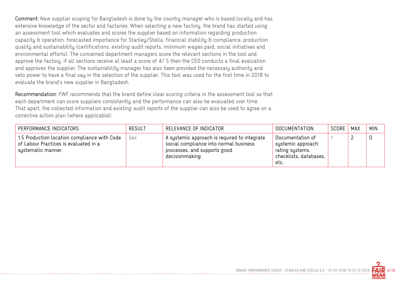Comment: New supplier scoping for Bangladesh is done by the country manager who is based locally and has extensive knowledge of the sector and factories. When selecting a new factory, the brand has started using an assessment tool which evaluates and scores the supplier based on information regarding production capacity & operation, forecasted importance for Stanley/Stella, financial stability & compliance, production quality and sustainability (certifications, existing audit reports, minimum wages paid, social initiatives and environmental efforts). The concerned department managers score the relevant sections in the tool and approve the factory, if all sections receive at least a score of 4/ 5 then the CEO conducts a final evaluation and approves the supplier. The sustainability manager has also been provided the necessary authority and veto power to have a final say in the selection of the supplier. This tool was used for the first time in 2018 to evaluate the brand's new supplier in Bangladesh.

Recommendation: FWF recommends that the brand define clear scoring criteria in the assessment tool so that each department can score suppliers consistently and the performance can also be evaluated over time. That apart, the collected information and existing audit reports of the supplier can also be used to agree on a corrective action plan (where applicable).

| PERFORMANCE INDICATORS                                                                                      | <b>RESULT</b> | RELEVANCE OF INDICATOR                                                                                                                    | <b>DOCUMENTATION</b>                                                                        | SCORE | MAX | <b>MIN</b> |
|-------------------------------------------------------------------------------------------------------------|---------------|-------------------------------------------------------------------------------------------------------------------------------------------|---------------------------------------------------------------------------------------------|-------|-----|------------|
| 1.5 Production location compliance with Code<br>of Labour Practices is evaluated in a<br>systematic manner. | Yes           | A systemic approach is required to integrate<br>social compliance into normal business<br>processes, and supports good<br>decisionmaking. | Documentation of<br>systemic approach:<br>rating systems,<br>checklists, databases,<br>etc. |       |     |            |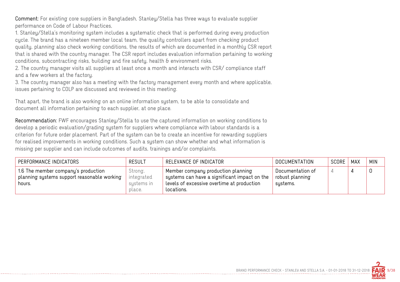Comment: For existing core suppliers in Bangladesh, Stanley/Stella has three ways to evaluate supplier performance on Code of Labour Practices,

1. Stanley/Stella's monitoring system includes a systematic check that is performed during every production cycle. The brand has a nineteen member local team, the quality controllers apart from checking product quality, planning also check working conditions, the results of which are documented in a monthly CSR report that is shared with the country manager. The CSR report includes evaluation information pertaining to working conditions, subcontracting risks, building and fire safety, health & environment risks.

2. The country manager visits all suppliers at least once a month and interacts with CSR/ compliance staff and a few workers at the factory.

3. The country manager also has a meeting with the factory management every month and where applicable, issues pertaining to COLP are discussed and reviewed in this meeting.

That apart, the brand is also working on an online information system, to be able to consolidate and document all information pertaining to each supplier, at one place.

Recommendation: FWF encourages Stanley/Stella to use the captured information on working conditions to develop a periodic evaluation/grading system for suppliers where compliance with labour standards is a criterion for future order placement. Part of the system can be to create an incentive for rewarding suppliers for realised improvements in working conditions. Such a system can show whether and what information is missing per supplier and can include outcomes of audits, trainings and/or complaints.

| PERFORMANCE INDICATORS                                                                                 | <b>RESULT</b>                                 | RELEVANCE OF INDICATOR                                                                                                                         | DOCUMENTATION                                   | <b>SCORE</b> | <b>MAX</b> | <b>MIN</b> |
|--------------------------------------------------------------------------------------------------------|-----------------------------------------------|------------------------------------------------------------------------------------------------------------------------------------------------|-------------------------------------------------|--------------|------------|------------|
| 1.6 The member company's production<br>$\,$ planning systems support reasonable working $\,$<br>hours. | Strong,<br>integrated<br>systems in<br>place. | Member company production planning<br>systems can have a significant impact on the<br>levels of excessive overtime at production<br>locations. | Documentation of<br>robust planning<br>systems. |              |            |            |

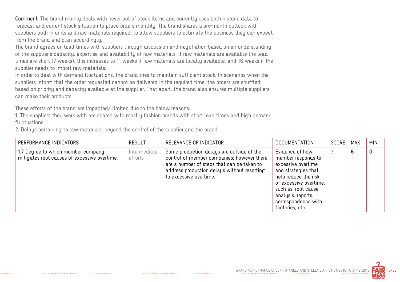Comment: The brand mainly deals with never out of stock items and currently uses both historic data to forecast and current stock situation to place orders monthly. The brand shares a six-month outlook with suppliers both in units and raw materials required, to allow suppliers to estimate the business they can expect from the brand and plan accordingly.

The brand agrees on lead times with suppliers through discussion and negotiation based on an understanding of the supplier's capacity, expertise and availability of raw materials. If raw materials are available the lead times are short (7 weeks), this increases to 11 weeks if raw materials are locally available, and 16 weeks if the supplier needs to import raw materials.

In order to deal with demand fluctuations, the brand tries to maintain sufficient stock. In scenarios when the suppliers inform that the order requested cannot be delivered in the required time, the orders are shuffled based on priority and capacity available at the supplier. That apart, the brand also ensures multiple suppliers can make their products.

These efforts of the brand are impacted/ limited due to the below reasons.

1. The suppliers they work with are shared with mostly fashion brands with short lead times and high demand fluctuations.

2. Delays pertaining to raw materials, beyond the control of the supplier and the brand

| PERFORMANCE INDICATORS                                                             | <b>RESULT</b>           | RELEVANCE OF INDICATOR                                                                                                                                                                                         | <b>DOCUMENTATION</b>                                                                                                                                                                                                        | SCORE | <b>MAX</b> | <b>MIN</b> |
|------------------------------------------------------------------------------------|-------------------------|----------------------------------------------------------------------------------------------------------------------------------------------------------------------------------------------------------------|-----------------------------------------------------------------------------------------------------------------------------------------------------------------------------------------------------------------------------|-------|------------|------------|
| 1.7 Degree to which member company<br>mitigates root causes of excessive overtime. | Intermediate<br>efforts | Some production delays are outside of the<br>control of member companies; however there<br>are a number of steps that can be taken to<br>address production delays without resorting<br>to excessive overtime. | Evidence of how<br>member responds to<br>excessive overtime<br>and strategies that<br>help reduce the risk<br>of excessive overtime,<br>such as: root cause<br>analysis, reports,<br>correspondence with<br>factories, etc. |       | b          | 0          |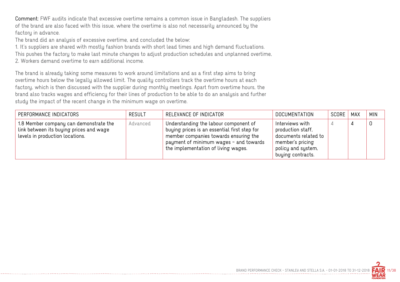Comment: FWF audits indicate that excessive overtime remains a common issue in Bangladesh. The suppliers of the brand are also faced with this issue, where the overtime is also not necessarily announced by the factory in advance.

The brand did an analysis of excessive overtime, and concluded the below:

1. It's suppliers are shared with mostly fashion brands with short lead times and high demand fluctuations. This pushes the factory to make last minute changes to adjust production schedules and unplanned overtime, 2. Workers demand overtime to earn additional income.

The brand is already taking some measures to work around limitations and as a first step aims to bring overtime hours below the legally allowed limit. The quality controllers track the overtime hours at each factory, which is then discussed with the supplier during monthly meetings. Apart from overtime hours, the brand also tracks wages and efficiency for their lines of production to be able to do an analysis and further study the impact of the recent change in the minimum wage on overtime.

| PERFORMANCE INDICATORS                                                                                               | <b>RESULT</b> | RELEVANCE OF INDICATOR                                                                                                                                                                                          | <b>DOCUMENTATION</b>                                                                                                        | SCORE | MAX | <b>MIN</b> |
|----------------------------------------------------------------------------------------------------------------------|---------------|-----------------------------------------------------------------------------------------------------------------------------------------------------------------------------------------------------------------|-----------------------------------------------------------------------------------------------------------------------------|-------|-----|------------|
| 1.8 Member company can demonstrate the<br>link between its buying prices and wage<br>levels in production locations. | Advanced      | Understanding the labour component of<br>buying prices is an essential first step for<br>member companies towards ensuring the<br>payment of minimum wages - and towards<br>the implementation of living wages. | Interviews with<br>production staff,<br>documents related to<br>member's pricing<br>policy and system,<br>buying contracts. |       |     |            |

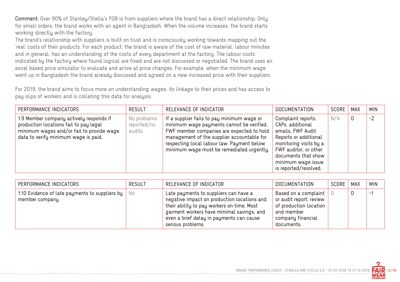Comment: Over 90% of Stanley/Stella's FOB is from suppliers where the brand has a direct relationship. Only for small orders, the brand works with an agent in Bangladesh. When the volume increases, the brand starts working directly with the factory.

The brand's relationship with suppliers is built on trust and is consciously working towards mapping out the 'real' costs of their products. For each product, the brand is aware of the cost of raw material, labour minutes and in general, has an understanding of the costs of every department at the factory. The labour costs indicated by the factory where found logical are fixed and are not discussed or negotiated. The brand uses an excel based price simulator to evaluate and arrive at price changes. For example, when the minimum wage went up in Bangladesh the brand already discussed and agreed on a new increased price with their suppliers.

For 2019, the brand aims to focus more on understanding wages, its linkage to their prices and has access to pay slips of workers and is collating this data for analysis.

| PERFORMANCE INDICATORS                                                                                                                                                 | <b>RESULT</b>                        | RELEVANCE OF INDICATOR                                                                                                                                                                                                                                                        | <b>DOCUMENTATION</b>                                                                                                                                                                                          | SCORE | <b>MAX</b> | <b>MIN</b> |
|------------------------------------------------------------------------------------------------------------------------------------------------------------------------|--------------------------------------|-------------------------------------------------------------------------------------------------------------------------------------------------------------------------------------------------------------------------------------------------------------------------------|---------------------------------------------------------------------------------------------------------------------------------------------------------------------------------------------------------------|-------|------------|------------|
| 1.9 Member company actively responds if<br>production locations fail to pay legal<br>minimum wages and/or fail to provide wage<br>data to verify minimum wage is paid. | No problems<br>reported/no<br>audits | If a supplier fails to pay minimum wage or<br>minimum wage payments cannot be verified,<br>FWF member companies are expected to hold<br>management of the supplier accountable for<br>respecting local labour law. Payment below<br>minimum wage must be remediated urgently. | Complaint reports,<br>CAPs, additional<br>emails, FWF Audit<br>Reports or additional<br>monitoring visits by a<br>FWF auditor, or other<br>documents that show<br>minimum wage issue<br>is reported/resolved. | N/A   | 0          | $-2$       |

| PERFORMANCE INDICATORS                                                           | <b>RESULT</b> | RELEVANCE OF INDICATOR                                                                                                                                                                                                                           | DOCUMENTATION                                                                                                              | SCORE | MAX | <b>MIN</b> |
|----------------------------------------------------------------------------------|---------------|--------------------------------------------------------------------------------------------------------------------------------------------------------------------------------------------------------------------------------------------------|----------------------------------------------------------------------------------------------------------------------------|-------|-----|------------|
| 1.10 Evidence of late payments to suppliers by $\parallel$ No<br>member company. |               | Late payments to suppliers can have a<br>negative impact on production locations and<br>their ability to pay workers on time. Most<br>garment workers have minimal savings, and<br>even a brief delay in payments can cause<br>serious problems. | Based on a complaint<br>or audit report; review<br>of production location<br>and member<br>company financial<br>documents. |       |     | $-$        |

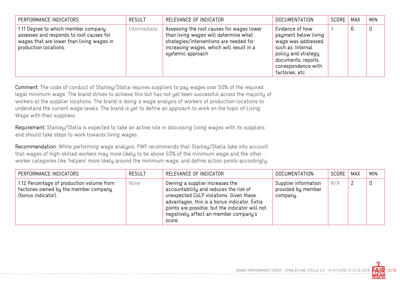| PERFORMANCE INDICATORS                                                                                                                                | <b>RESULT</b> | RELEVANCE OF INDICATOR                                                                                                                                                                         | <b>DOCUMENTATION</b>                                                                                                                                                       | SCORE | MAX | <b>MIN</b> |
|-------------------------------------------------------------------------------------------------------------------------------------------------------|---------------|------------------------------------------------------------------------------------------------------------------------------------------------------------------------------------------------|----------------------------------------------------------------------------------------------------------------------------------------------------------------------------|-------|-----|------------|
| 1.11 Degree to which member company<br>assesses and responds to root causes for<br>wages that are lower than living wages in<br>production locations. | Intermediate  | Assessing the root causes for wages lower<br>than living wages will determine what<br>strategies/interventions are needed for<br>increasing wages, which will result in a<br>systemic approach | Evidence of how<br>payment below living<br>wage was addressed,<br>such as: Internal<br>policy and strategy<br>documents, reports,<br>correspondence with<br>factories, etc |       | 6   | 0          |

Comment: The code of conduct of Stanley/Stella requires suppliers to pay wages over 50% of the required legal minimum wage. The brand strives to achieve this but has not yet been successful across the majority of workers at the supplier locations. The brand is doing a wage analysis of workers at production locations to understand the current wage levels. The brand is yet to define an approach to work on the topic of Living Wage with their suppliers.

Requirement: Stanley/Stella is expected to take an active role in discussing living wages with its suppliers and should take steps to work towards living wages.

Recommendation: While performing wage analysis, FWF recommends that Stanley/Stella take into account that wages of high-skilled workers may more likely to be above 50% of the minimum wage and the other worker categories like 'helpers' more likely around the minimum wage, and define action points accordingly.

| PERFORMANCE INDICATORS                                                                                   | <b>RESULT</b> | RELEVANCE OF INDICATOR                                                                                                                                                                                                                                                     | <b>DOCUMENTATION</b>                                   | SCORE | <b>MAX</b> | <b>MIN</b> |
|----------------------------------------------------------------------------------------------------------|---------------|----------------------------------------------------------------------------------------------------------------------------------------------------------------------------------------------------------------------------------------------------------------------------|--------------------------------------------------------|-------|------------|------------|
| 1.12 Percentage of production volume from<br>factories owned by the member company<br>(bonus indicator). | None          | Owning a supplier increases the<br>accountability and reduces the risk of<br>unexpected CoLP violations. Given these<br>advantages, this is a bonus indicator. Extra<br>points are possible, but the indicator will not<br>negatively affect an member company's<br>score. | Supplier information<br>provided by member<br>company. | N/A   |            |            |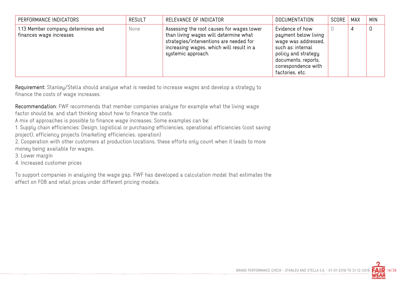| PERFORMANCE INDICATORS                                        | <b>RESULT</b> | RELEVANCE OF INDICATOR                                                                                                                                                                          | <b>DOCUMENTATION</b>                                                                                                                                                        | SCORE | MAX | <b>MIN</b> |
|---------------------------------------------------------------|---------------|-------------------------------------------------------------------------------------------------------------------------------------------------------------------------------------------------|-----------------------------------------------------------------------------------------------------------------------------------------------------------------------------|-------|-----|------------|
| 1.13 Member company determines and<br>finances wage increases | None          | Assessing the root causes for wages lower<br>than living wages will determine what<br>strategies/interventions are needed for<br>increasing wages, which will result in a<br>systemic approach. | Evidence of how<br>payment below living<br>wage was addressed,<br>such as: internal<br>policy and strategy<br>documents, reports,<br>correspondence with<br>factories, etc. |       | 4   |            |

Requirement: Stanley/Stella should analyse what is needed to increase wages and develop a strategy to finance the costs of wage increases.

Recommendation: FWF recommends that member companies analyse for example what the living wage

factor should be, and start thinking about how to finance the costs.

A mix of approaches is possible to finance wage increases. Some examples can be:

1. Supply chain efficiencies: Design, logistical or purchasing efficiencies, operational efficiencies (cost saving project), efficiency projects (marketing efficiencies, operation)

2. Cooperation with other customers at production locations, these efforts only count when it leads to more money being available for wages.

3. Lower margin

4. Increased customer prices

To support companies in analysing the wage gap, FWF has developed a calculation model that estimates the effect on FOB and retail prices under different pricing models.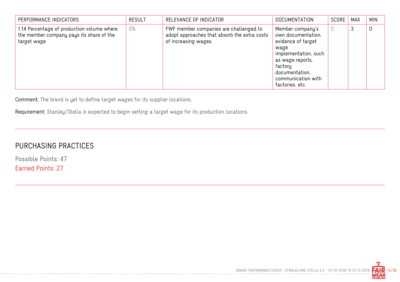| PERFORMANCE INDICATORS                                                                                | <b>RESULT</b> | RELEVANCE OF INDICATOR                                                                                         | <b>DOCUMENTATION</b>                                                                                                                                                                   | SCORE | <b>MAX</b> | <b>MIN</b> |
|-------------------------------------------------------------------------------------------------------|---------------|----------------------------------------------------------------------------------------------------------------|----------------------------------------------------------------------------------------------------------------------------------------------------------------------------------------|-------|------------|------------|
| 1.14 Percentage of production volume where<br>the member company pays its share of the<br>target wage | 0%            | FWF member companies are challenged to<br>adopt approaches that absorb the extra costs<br>of increasing wages. | Member company's<br>own documentation,<br>evidence of target<br>waqe<br>implementation, such<br>as wage reports,<br>factory<br>documentation,<br>communication with<br>factories, etc. |       | 3          | 0          |

Comment: The brand is yet to define target wages for its supplier locations.

Requirement: Stanley/Stella is expected to begin setting a target wage for its production locations.

## PURCHASING PRACTICES

Possible Points: 47 Earned Points: 27

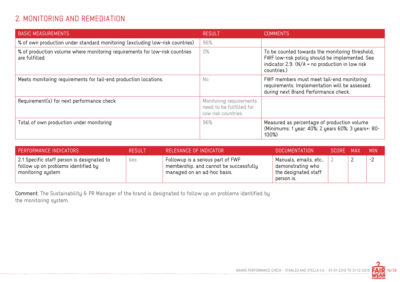## 2. MONITORING AND REMEDIATION

| <b>BASIC MEASUREMENTS</b>                                                                    | <b>RESULT</b>                                                              | <b>COMMENTS</b>                                                                                                                                                       |
|----------------------------------------------------------------------------------------------|----------------------------------------------------------------------------|-----------------------------------------------------------------------------------------------------------------------------------------------------------------------|
| % of own production under standard monitoring (excluding low-risk countries)                 | 96%                                                                        |                                                                                                                                                                       |
| % of production volume where monitoring requirements for low-risk countries<br>are fulfilled | 0%                                                                         | To be counted towards the monitoring threshold,<br>FWF low-risk policy should be implemented. See<br>indicator 2.9. $(N/A = no$ production in low risk<br>countries.) |
| Meets monitoring requirements for tail-end production locations.                             | No                                                                         | FWF members must meet tail-end monitoring<br>requirements. Implementation will be assessed<br>during next Brand Performance check.                                    |
| Requirement(s) for next performance check                                                    | Monitoring requirements<br>need to be fulfilled for<br>low risk countries. |                                                                                                                                                                       |
| Total of own production under monitoring                                                     | 96%                                                                        | Measured as percentage of production volume<br>(Minimums: 1 year: 40%; 2 years 60%; 3 years+: 80-<br>100%)                                                            |

| <b>PERFORMANCE INDICATORS</b>                                                                          | <b>RESULT</b> | RELEVANCE OF INDICATOR                                                                                     | DOCUMENTATION                                                                     | 'SCORE MAX | MIN. |
|--------------------------------------------------------------------------------------------------------|---------------|------------------------------------------------------------------------------------------------------------|-----------------------------------------------------------------------------------|------------|------|
| 2.1 Specific staff person is designated to<br>follow up on problems identified by<br>monitoring system | Yes           | Followup is a serious part of FWF<br>membership, and cannot be successfully<br>managed on an ad-hoc basis. | Manuals, emails, etc.,<br>demonstrating who<br>the designated staff<br>person is. |            | $-2$ |

-------------------------

Comment: The Sustainability & PR Manager of the brand is designated to follow up on problems identified by the monitoring system.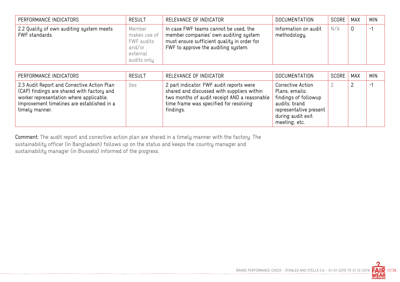| PERFORMANCE INDICATORS                                     | <b>RESULT</b>                                                             | RELEVANCE OF INDICATOR                                                                                                                                               | DOCUMENTATION                        | SCORE | MAX | <b>MIN</b> |
|------------------------------------------------------------|---------------------------------------------------------------------------|----------------------------------------------------------------------------------------------------------------------------------------------------------------------|--------------------------------------|-------|-----|------------|
| 2.2 Quality of own auditing system meets<br>FWF standards. | Member<br>makes use of<br>FWF audits<br>and/or<br>external<br>audits only | In case FWF teams cannot be used, the<br>member companies' own auditing system<br>must ensure sufficient quality in order for<br>FWF to approve the auditing system. | Information on audit<br>methodology. | N/A   | 0   | $-1$       |

| PERFORMANCE INDICATORS                                                                                                                                                                               | <b>RESULT</b> | RELEVANCE OF INDICATOR                                                                                                                                                                        | DOCUMENTATION                                                                                                                                | SCORE | MAX | <b>MIN</b> |
|------------------------------------------------------------------------------------------------------------------------------------------------------------------------------------------------------|---------------|-----------------------------------------------------------------------------------------------------------------------------------------------------------------------------------------------|----------------------------------------------------------------------------------------------------------------------------------------------|-------|-----|------------|
| 2.3 Audit Report and Corrective Action Plan<br>(CAP) findings are shared with factory and<br>worker representation where applicable.<br>Improvement timelines are established in a<br>timely manner. | Yes           | 2 part indicator: FWF audit reports were<br>shared and discussed with suppliers within<br>two months of audit receipt AND a reasonable<br>time frame was specified for resolving<br>findings. | Corrective Action<br>Plans, emails;<br>findings of followup<br>audits; brand<br>representative present<br>during audit exit<br>meeting, etc. |       |     | $-1$       |

Comment: The audit report and corrective action plan are shared in a timely manner with the factory. The sustainability officer (in Bangladesh) follows up on the status and keeps the country manager and sustainability manager (in Brussels) informed of the progress.

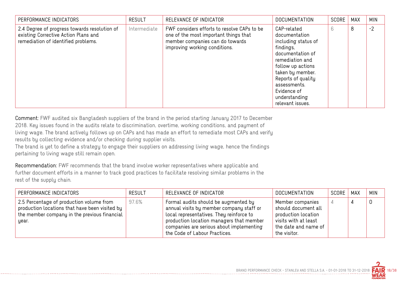| PERFORMANCE INDICATORS                                                                                                      | <b>RESULT</b> | RELEVANCE OF INDICATOR                                                                                                                                   | <b>DOCUMENTATION</b>                                                                                                                                                                                                                       | <b>SCORE</b> | <b>MAX</b> | <b>MIN</b> |
|-----------------------------------------------------------------------------------------------------------------------------|---------------|----------------------------------------------------------------------------------------------------------------------------------------------------------|--------------------------------------------------------------------------------------------------------------------------------------------------------------------------------------------------------------------------------------------|--------------|------------|------------|
| 2.4 Degree of progress towards resolution of<br>existing Corrective Action Plans and<br>remediation of identified problems. | Intermediate  | FWF considers efforts to resolve CAPs to be<br>one of the most important things that<br>member companies can do towards<br>improving working conditions. | CAP-related<br>documentation<br>including status of<br>findings,<br>documentation of<br>remediation and<br>follow up actions<br>taken by member.<br>Reports of quality<br>assessments.<br>Evidence of<br>understanding<br>relevant issues. | 6            | 8          | $-2$       |

Comment: FWF audited six Bangladesh suppliers of the brand in the period starting January 2017 to December 2018. Key issues found in the audits relate to discrimination, overtime, working conditions, and payment of living wage. The brand actively follows up on CAPs and has made an effort to remediate most CAPs and verify results by collecting evidence and/or checking during supplier visits.

The brand is yet to define a strategy to engage their suppliers on addressing living wage, hence the findings pertaining to living wage still remain open.

Recommendation: FWF recommends that the brand involve worker representatives where applicable and further document efforts in a manner to track good practices to facilitate resolving similar problems in the rest of the supply chain.

| PERFORMANCE INDICATORS                                                                                                                              | <b>RESULT</b> | RELEVANCE OF INDICATOR                                                                                                                                                                                                                                | DOCUMENTATION                                                                                                                  | SCORE | MAX | <b>MIN</b> |
|-----------------------------------------------------------------------------------------------------------------------------------------------------|---------------|-------------------------------------------------------------------------------------------------------------------------------------------------------------------------------------------------------------------------------------------------------|--------------------------------------------------------------------------------------------------------------------------------|-------|-----|------------|
| 2.5 Percentage of production volume from<br>production locations that have been visited by<br>the member company in the previous financial<br>year. | 97.6%         | Formal audits should be augmented by<br>annual visits by member company staff or<br>local representatives. They reinforce to<br>production location managers that member<br>companies are serious about implementing<br>the Code of Labour Practices. | Member companies<br>should document all<br>production location<br>visits with at least<br>the date and name of<br>the visitor. |       |     |            |

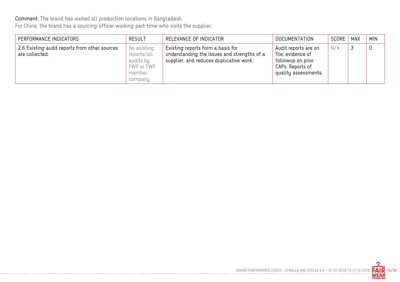Comment: The brand has visited all production locations in Bangladesh.

For China, the brand has a sourcing officer working part-time who visits the supplier.

| PERFORMANCE INDICATORS                                          | <b>RESULT</b>                                                              | RELEVANCE OF INDICATOR                                                                                                      | DOCUMENTATION                                                                                              | SCORE | MAX     | <b>MIN</b> |
|-----------------------------------------------------------------|----------------------------------------------------------------------------|-----------------------------------------------------------------------------------------------------------------------------|------------------------------------------------------------------------------------------------------------|-------|---------|------------|
| 2.6 Existing audit reports from other sources<br>are collected. | No existing<br>reports/all<br>audits by<br>FWF or FWF<br>member<br>company | Existing reports form a basis for<br>understanding the issues and strengths of a<br>supplier, and reduces duplicative work. | Audit reports are on<br>file; evidence of<br>followup on prior<br>CAPs. Reports of<br>quality assessments. | N/A   | ્ર<br>◡ | 0          |

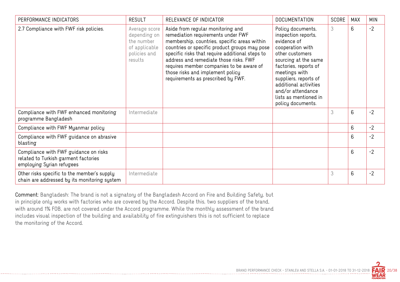| PERFORMANCE INDICATORS                                                                                     | <b>RESULT</b>                                                                           | RELEVANCE OF INDICATOR                                                                                                                                                                                                                                                                                                                                                                      | <b>DOCUMENTATION</b>                                                                                                                                                                                                                                                                  | <b>SCORE</b> | <b>MAX</b> | <b>MIN</b> |
|------------------------------------------------------------------------------------------------------------|-----------------------------------------------------------------------------------------|---------------------------------------------------------------------------------------------------------------------------------------------------------------------------------------------------------------------------------------------------------------------------------------------------------------------------------------------------------------------------------------------|---------------------------------------------------------------------------------------------------------------------------------------------------------------------------------------------------------------------------------------------------------------------------------------|--------------|------------|------------|
| 2.7 Compliance with FWF risk policies.                                                                     | Average score<br>depending on<br>the number<br>of applicable<br>policies and<br>results | Aside from regular monitoring and<br>remediation requirements under FWF<br>membership, countries, specific areas within<br>countries or specific product groups may pose<br>specific risks that require additional steps to<br>address and remediate those risks. FWF<br>requires member companies to be aware of<br>those risks and implement policy<br>requirements as prescribed by FWF. | Policy documents,<br>inspection reports,<br>evidence of<br>cooperation with<br>other customers<br>sourcing at the same<br>factories, reports of<br>meetings with<br>suppliers, reports of<br>additional activities<br>and/or attendance<br>lists as mentioned in<br>policy documents. | 3            | 6          | $-2$       |
| Compliance with FWF enhanced monitoring<br>programme Bangladesh                                            | Intermediate                                                                            |                                                                                                                                                                                                                                                                                                                                                                                             |                                                                                                                                                                                                                                                                                       | 3            | 6          | $-2$       |
| Compliance with FWF Myanmar policy                                                                         |                                                                                         |                                                                                                                                                                                                                                                                                                                                                                                             |                                                                                                                                                                                                                                                                                       |              | 6          | $-2$       |
| Compliance with FWF guidance on abrasive<br>blasting                                                       |                                                                                         |                                                                                                                                                                                                                                                                                                                                                                                             |                                                                                                                                                                                                                                                                                       |              | 6          | $-2$       |
| Compliance with FWF guidance on risks<br>related to Turkish garment factories<br>employing Syrian refugees |                                                                                         |                                                                                                                                                                                                                                                                                                                                                                                             |                                                                                                                                                                                                                                                                                       |              | 6          | $-2$       |
| Other risks specific to the member's supply<br>chain are addressed by its monitoring system                | Intermediate                                                                            |                                                                                                                                                                                                                                                                                                                                                                                             |                                                                                                                                                                                                                                                                                       | 3            | 6          | $-2$       |

Comment: Bangladesh: The brand is not a signatory of the Bangladesh Accord on Fire and Building Safety, but in principle only works with factories who are covered by the Accord. Despite this, two suppliers of the brand, with around 1% FOB, are not covered under the Accord programme. While the monthly assessment of the brand includes visual inspection of the building and availability of fire extinguishers this is not sufficient to replace the monitoring of the Accord.

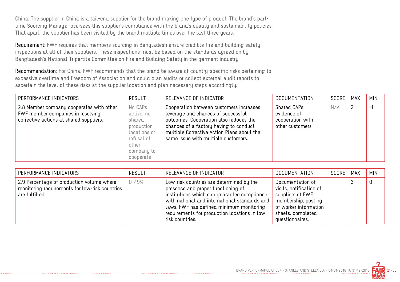China: The supplier in China is a tail-end supplier for the brand making one type of product. The brand's parttime Sourcing Manager oversees this supplier's compliance with the brand's quality and sustainability policies. That apart, the supplier has been visited by the brand multiple times over the last three years.

Requirement: FWF requires that members sourcing in Bangladesh ensure credible fire and building safety inspections at all of their suppliers. These inspections must be based on the standards agreed on by Bangladesh's National Tripartite Committee on Fire and Building Safety in the garment industry.

Recommendation: For China, FWF recommends that the brand be aware of country-specific risks pertaining to excessive overtime and Freedom of Association and could plan audits or collect external audit reports to ascertain the level of these risks at the supplier location and plan necessary steps accordingly.

| PERFORMANCE INDICATORS                                                                                                   | <b>RESULT</b>                                                                                                   | RELEVANCE OF INDICATOR                                                                                                                                                                                                                                 | <b>DOCUMENTATION</b>                                                | SCORE | <b>MAX</b> | <b>MIN</b> |
|--------------------------------------------------------------------------------------------------------------------------|-----------------------------------------------------------------------------------------------------------------|--------------------------------------------------------------------------------------------------------------------------------------------------------------------------------------------------------------------------------------------------------|---------------------------------------------------------------------|-------|------------|------------|
| 2.8 Member company cooperates with other<br>FWF member companies in resolving<br>corrective actions at shared suppliers. | No CAPs<br>active, no<br>shared<br>production<br>locations or<br>refusal of<br>other<br>company to<br>cooperate | Cooperation between customers increases<br>leverage and chances of successful<br>outcomes. Cooperation also reduces the<br>chances of a factory having to conduct<br>multiple Corrective Action Plans about the<br>same issue with multiple customers. | Shared CAPs,<br>evidence of<br>cooperation with<br>other customers. | N/A   | 2          | -1         |

| PERFORMANCE INDICATORS                                                                                        | <b>RESULT</b> | RELEVANCE OF INDICATOR                                                                                                                                                                                                                                                                         | DOCUMENTATION                                                                                                                                           | SCORE   MAX | <b>MIN</b> |
|---------------------------------------------------------------------------------------------------------------|---------------|------------------------------------------------------------------------------------------------------------------------------------------------------------------------------------------------------------------------------------------------------------------------------------------------|---------------------------------------------------------------------------------------------------------------------------------------------------------|-------------|------------|
| 2.9 Percentage of production volume where<br>monitoring requirements for low-risk countries<br>are fulfilled. | 0-49%         | Low-risk countries are determined by the<br>presence and proper functioning of<br>institutions which can guarantee compliance<br>with national and international standards and<br>laws. FWF has defined minimum monitoring<br>requirements for production locations in low-<br>risk countries. | Documentation of<br>visits, notification of<br>suppliers of FWF<br>membership; posting<br>of worker information<br>sheets, completed<br>questionnaires. |             | 0          |

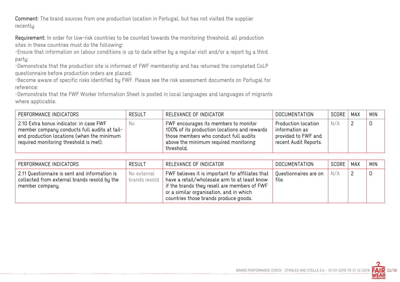Comment: The brand sources from one production location in Portugal, but has not visited the supplier recently.

Requirement: In order for low-risk countries to be counted towards the monitoring threshold, all production sites in these countries must do the following:

-Ensure that information on labour conditions is up to date either by a regular visit and/or a report by a third party;

-Demonstrate that the production site is informed of FWF membership and has returned the completed CoLP questionnaire before production orders are placed;

-Become aware of specific risks identified by FWF. Please see the risk assessment documents on Portugal for reference;

-Demonstrate that the FWF Worker Information Sheet is posted in local languages and languages of migrants where applicable.

| PERFORMANCE INDICATORS                                                                                                                                                          | <b>RESULT</b> | RELEVANCE OF INDICATOR                                                                                                                                                                | DOCUMENTATION                                                                         | SCORE | MAX | <b>MIN</b> |
|---------------------------------------------------------------------------------------------------------------------------------------------------------------------------------|---------------|---------------------------------------------------------------------------------------------------------------------------------------------------------------------------------------|---------------------------------------------------------------------------------------|-------|-----|------------|
| 2.10 Extra bonus indicator: in case FWF<br>member company conducts full audits at tail-<br>end production locations (when the minimum<br>required monitoring threshold is met). | No            | FWF encourages its members to monitor<br>100% of its production locations and rewards<br>those members who conduct full audits<br>above the minimum required monitoring<br>threshold. | Production location<br>information as<br>provided to FWF and<br>recent Audit Reports. | N/A   |     | 0          |

| PERFORMANCE INDICATORS                                                                                           | <b>RESULT</b>                | RELEVANCE OF INDICATOR                                                                                                                                                                                                                                             | DOCUMENTATION                  | SCORE | MAX | <b>MIN</b> |
|------------------------------------------------------------------------------------------------------------------|------------------------------|--------------------------------------------------------------------------------------------------------------------------------------------------------------------------------------------------------------------------------------------------------------------|--------------------------------|-------|-----|------------|
| 2.11 Questionnaire is sent and information is<br>collected from external brands resold by the<br>member company. | No external<br>brands resold | FWF believes it is important for affiliates that<br>$\,$ have a retail/wholesale arm to at least know<br>if the brands they resell are members of FWF<br>or a similar organisation, and in which $\overline{\phantom{a}}$<br>countries those brands produce goods. | Questionnaires are on<br>file. | N/A   |     |            |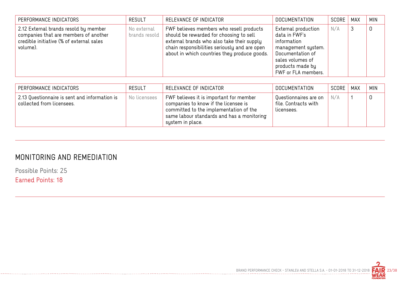| PERFORMANCE INDICATORS                                                                                                                 | <b>RESULT</b>                | RELEVANCE OF INDICATOR                                                                                                                                                                                                             | <b>DOCUMENTATION</b>                                                                                                                                         | SCORE | <b>MAX</b> | <b>MIN</b> |
|----------------------------------------------------------------------------------------------------------------------------------------|------------------------------|------------------------------------------------------------------------------------------------------------------------------------------------------------------------------------------------------------------------------------|--------------------------------------------------------------------------------------------------------------------------------------------------------------|-------|------------|------------|
| 2.12 External brands resold by member<br>companies that are members of another<br>credible initiative (% of external sales<br>volume). | No external<br>brands resold | FWF believes members who resell products<br>should be rewarded for choosing to sell<br>external brands who also take their supply<br>chain responsibilities seriously and are open<br>about in which countries they produce goods. | External production<br>data in FWF's<br>information<br>management system.<br>Documentation of<br>sales volumes of<br>products made by<br>FWF or FLA members. | N/A   |            |            |

| PERFORMANCE INDICATORS                                                     | RESULT       | RELEVANCE OF INDICATOR                                                                                                                                                                      | DOCUMENTATION                                               | SCORE | MAX | <b>MIN</b> |
|----------------------------------------------------------------------------|--------------|---------------------------------------------------------------------------------------------------------------------------------------------------------------------------------------------|-------------------------------------------------------------|-------|-----|------------|
| 2.13 Questionnaire is sent and information is<br>collected from licensees. | No licensees | FWF believes it is important for member<br>companies to know if the licensee is<br>committed to the implementation of the<br>same labour standards and has a monitoring<br>system in place. | Questionnaires are on<br>file. Contracts with<br>licensees. | N/A   |     |            |

#### MONITORING AND REMEDIATION

--------------------------------

Possible Points: 25

Earned Points: 18

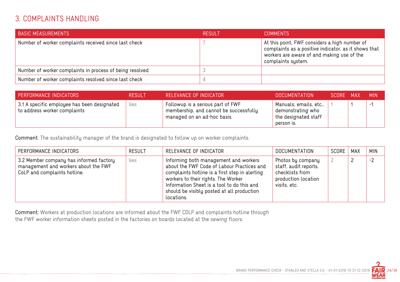#### 3. COMPLAINTS HANDLING

| <b>BASIC MEASUREMENTS</b>                                | RESULT | <b>COMMENTS</b>                                                                                                                                                                          |
|----------------------------------------------------------|--------|------------------------------------------------------------------------------------------------------------------------------------------------------------------------------------------|
| Number of worker complaints received since last check    |        | At this point, FWF considers a high number of<br>$\overline{a}$ complaints as a positive indicator, as it shows that<br>workers are aware of and making use of the<br>complaints system. |
| Number of worker complaints in process of being resolved |        |                                                                                                                                                                                          |
| Number of worker complaints resolved since last check    |        |                                                                                                                                                                                          |

| PERFORMANCE INDICATORS                                                      | <b>RESULT</b> | RELEVANCE OF INDICATOR                                                                                     | DOCUMENTATION                                                                     | SCORE MAX | <b>MIN</b> |
|-----------------------------------------------------------------------------|---------------|------------------------------------------------------------------------------------------------------------|-----------------------------------------------------------------------------------|-----------|------------|
| 3.1 A specific employee has been designated<br>to address worker complaints | Yes           | Followup is a serious part of FWF<br>membership, and cannot be successfully<br>managed on an ad-hoc basis. | Manuals, emails, etc.,<br>demonstrating who<br>the designated staff<br>person is. |           | $-$        |

Comment: The sustainability manager of the brand is designated to follow up on worker complaints.

| PERFORMANCE INDICATORS                                                                                          | <b>RESULT</b> | RELEVANCE OF INDICATOR                                                                                                                                                                                                                                                                 | <b>DOCUMENTATION</b>                                                                                 | SCORE | MAX | <b>MIN</b> |
|-----------------------------------------------------------------------------------------------------------------|---------------|----------------------------------------------------------------------------------------------------------------------------------------------------------------------------------------------------------------------------------------------------------------------------------------|------------------------------------------------------------------------------------------------------|-------|-----|------------|
| 3.2 Member company has informed factory<br>management and workers about the FWF<br>CoLP and complaints hotline. | Yes           | Informing both management and workers<br>about the FWF Code of Labour Practices and<br>complaints hotline is a first step in alerting<br>workers to their rights. The Worker<br>Information Sheet is a tool to do this and<br>should be visibly posted at all production<br>locations. | Photos by company<br>staff, audit reports,<br>checklists from<br>production location<br>visits, etc. |       |     | $-2$       |

Comment: Workers at production locations are informed about the FWF COLP and complaints hotline through the FWF worker information sheets posted in the factories on boards located at the sewing floors.

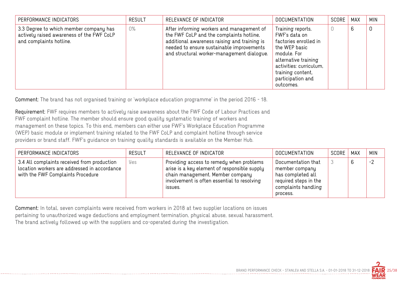| PERFORMANCE INDICATORS                                                                                         | <b>RESULT</b> | RELEVANCE OF INDICATOR                                                                                                                                                                                                           | <b>DOCUMENTATION</b>                                                                                                                                                                                  | SCORE | <b>MAX</b> | <b>MIN</b> |
|----------------------------------------------------------------------------------------------------------------|---------------|----------------------------------------------------------------------------------------------------------------------------------------------------------------------------------------------------------------------------------|-------------------------------------------------------------------------------------------------------------------------------------------------------------------------------------------------------|-------|------------|------------|
| 3.3 Degree to which member company has<br>actively raised awareness of the FWF CoLP<br>and complaints hotline. | 0%            | After informing workers and management of<br>the FWF CoLP and the complaints hotline,<br>additional awareness raising and training is<br>needed to ensure sustainable improvements<br>and structural worker-management dialogue. | Training reports,<br>FWF's data on<br>factories enrolled in<br>the WEP basic<br>module. For<br>alternative training<br>activities: curriculum,<br>training content,<br>participation and<br>outcomes. |       | 6          | 0          |

Comment: The brand has not organised training or 'workplace education programme' in the period 2016 - 18.

Requirement: FWF requires members to actively raise awareness about the FWF Code of Labour Practices and FWF complaint hotline. The member should ensure good quality systematic training of workers and management on these topics. To this end, members can either use FWF's Workplace Education Programme (WEP) basic module or implement training related to the FWF CoLP and complaint hotline through service providers or brand staff. FWF's guidance on training quality standards is available on the Member Hub.

| PERFORMANCE INDICATORS                                                                                                           | <b>RESULT</b> | RELEVANCE OF INDICATOR                                                                                                                                                                 | DOCUMENTATION                                                                                                         | SCORE | MAX | <b>MIN</b> |
|----------------------------------------------------------------------------------------------------------------------------------|---------------|----------------------------------------------------------------------------------------------------------------------------------------------------------------------------------------|-----------------------------------------------------------------------------------------------------------------------|-------|-----|------------|
| 3.4 All complaints received from production<br>location workers are addressed in accordance<br>with the FWF Complaints Procedure | Yes           | Providing access to remedy when problems<br>arise is a key element of responsible supply<br>chain management. Member company<br>involvement is often essential to resolving<br>ISSUES. | Documentation that<br>member company<br>has completed all<br>required steps in the<br>complaints handling<br>process. |       | 6   | $-2$       |

Comment: In total, seven complaints were received from workers in 2018 at two supplier locations on issues pertaining to unauthorized wage deductions and employment termination, physical abuse, sexual harassment. The brand actively followed up with the suppliers and co-operated during the investigation.

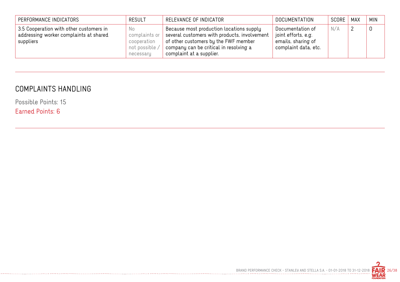| PERFORMANCE INDICATORS                                                                         | <b>RESULT</b>                                                      | RELEVANCE OF INDICATOR                                                                                                                                                                                         | DOCUMENTATION                                                                         | SCORE   MAX | <b>MIN</b>  |
|------------------------------------------------------------------------------------------------|--------------------------------------------------------------------|----------------------------------------------------------------------------------------------------------------------------------------------------------------------------------------------------------------|---------------------------------------------------------------------------------------|-------------|-------------|
| 3.5 Cooperation with other customers in<br>addressing worker complaints at shared<br>suppliers | No.<br>complaints or<br>cooperation<br>not possible /<br>necessary | Because most production locations supply<br>$^\top$ several customers with products, involvement<br>of other customers by the FWF member<br>company can be critical in resolving a<br>complaint at a supplier. | Documentation of<br>joint efforts, e.g.<br>emails, sharing of<br>complaint data, etc. | N/A         | $\mathbf 0$ |

#### COMPLAINTS HANDLING

Possible Points: 15

Earned Points: 6

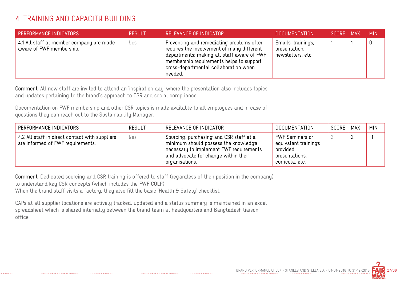#### 4. TRAINING AND CAPACITY BUILDING

| <b>PERFORMANCE INDICATORS</b>                                        | <b>RESULT</b> | RELEVANCE OF INDICATOR                                                                                                                                                                                                                | DOCUMENTATION                                            | SCORE MAX | <b>MIN</b> |
|----------------------------------------------------------------------|---------------|---------------------------------------------------------------------------------------------------------------------------------------------------------------------------------------------------------------------------------------|----------------------------------------------------------|-----------|------------|
| 4.1 All staff at member company are made<br>aware of FWF membership. | Yes           | Preventing and remediating problems often<br>requires the involvement of many different<br>departments; making all staff aware of FWF<br>membership requirements helps to support<br>cross-departmental collaboration when<br>needed. | Emails, trainings,<br>presentation,<br>newsletters, etc. |           | 0          |

Comment: All new staff are invited to attend an 'inspiration day' where the presentation also includes topics and updates pertaining to the brand's approach to CSR and social compliance.

Documentation on FWF membership and other CSR topics is made available to all employees and in case of questions they can reach out to the Sustainability Manager.

| PERFORMANCE INDICATORS                                                              | <b>RESULT</b> | RELEVANCE OF INDICATOR                                                                                                                                                               | DOCUMENTATION                                                                             | SCORE | MAX | <b>MIN</b>    |
|-------------------------------------------------------------------------------------|---------------|--------------------------------------------------------------------------------------------------------------------------------------------------------------------------------------|-------------------------------------------------------------------------------------------|-------|-----|---------------|
| 4.2 All staff in direct contact with suppliers<br>are informed of FWF requirements. | Yes           | Sourcing, purchasing and CSR staff at a<br>minimum should possess the knowledge<br>necessary to implement FWF requirements<br>and advocate for change within their<br>organisations. | FWF Seminars or<br>equivalent trainings<br>provided;<br>presentations,<br>curricula, etc. |       |     | $\mathcal{L}$ |

Comment: Dedicated sourcing and CSR training is offered to staff (regardless of their position in the company) to understand key CSR concepts (which includes the FWF COLP).

When the brand staff visits a factory, they also fill the basic 'Health & Safety' checklist.

CAPs at all supplier locations are actively tracked, updated and a status summary is maintained in an excel spreadsheet which is shared internally between the brand team at headquarters and Bangladesh liaison office.

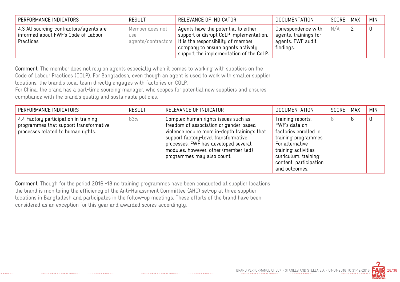| PERFORMANCE INDICATORS                                                                       | <b>RESULT</b>                                       | RELEVANCE OF INDICATOR                                                                                                                                                                                           | <b>DOCUMENTATION</b>                                                           | SCORE | MAX | <b>MIN</b> |
|----------------------------------------------------------------------------------------------|-----------------------------------------------------|------------------------------------------------------------------------------------------------------------------------------------------------------------------------------------------------------------------|--------------------------------------------------------------------------------|-------|-----|------------|
| 4.3 All sourcing contractors/agents are<br>informed about FWF's Code of Labour<br>Practices. | Member does not<br><b>USE</b><br>agents/contractors | Agents have the potential to either<br>support or disrupt CoLP implementation.<br>$\parallel$ It is the responsibility of member<br>company to ensure agents actively<br>support the implementation of the CoLP. | Correspondence with<br>agents, trainings for<br>agents, FWF audit<br>findings. | N/A   |     |            |

Comment: The member does not rely on agents especially when it comes to working with suppliers on the Code of Labour Practices (COLP). For Bangladesh, even though an agent is used to work with smaller supplier locations, the brand's local team directly engages with factories on COLP.

For China, the brand has a part-time sourcing manager, who scopes for potential new suppliers and ensures compliance with the brand's quality and sustainable policies.

| PERFORMANCE INDICATORS                                                                                                | <b>RESULT</b> | RELEVANCE OF INDICATOR                                                                                                                                                                                                                                                               | <b>DOCUMENTATION</b>                                                                                                                                                                              | SCORE | <b>MAX</b> | <b>MIN</b> |
|-----------------------------------------------------------------------------------------------------------------------|---------------|--------------------------------------------------------------------------------------------------------------------------------------------------------------------------------------------------------------------------------------------------------------------------------------|---------------------------------------------------------------------------------------------------------------------------------------------------------------------------------------------------|-------|------------|------------|
| 4.4 Factory participation in training<br>programmes that support transformative<br>processes related to human rights. | 63%           | Complex human rights issues such as<br>freedom of association or gender-based<br>violence require more in-depth trainings that<br>support factory-level transformative<br>processes. FWF has developed several<br>modules, however, other (member-led)<br>programmes may also count. | Training reports,<br>FWF's data on<br>factories enrolled in<br>training programmes.<br>For alternative<br>training activities:<br>curriculum, training<br>content, participation<br>and outcomes. | 6.    |            | 0          |

Comment: Though for the period 2016 -18 no training programmes have been conducted at supplier locations the brand is monitoring the efficiency of the Anti-Harassment Committee (AHC) set-up at three supplier locations in Bangladesh and participates in the follow-up meetings. These efforts of the brand have been considered as an exception for this year and awarded scores accordingly.

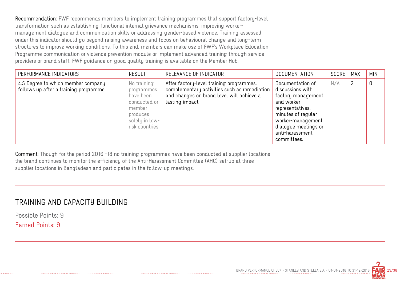Recommendation: FWF recommends members to implement training programmes that support factory-level transformation such as establishing functional internal grievance mechanisms, improving worker management dialogue and communication skills or addressing gender-based violence. Training assessed under this indicator should go beyond raising awareness and focus on behavioural change and long-term structures to improve working conditions. To this end, members can make use of FWF's Workplace Education Programme communication or violence prevention module or implement advanced training through service providers or brand staff. FWF guidance on good quality training is available on the Member Hub.

| PERFORMANCE INDICATORS                                                       | <b>RESULT</b>                                                                                                    | RELEVANCE OF INDICATOR                                                                                                                                   | DOCUMENTATION                                                                                                                                                                                     | SCORE | <b>MAX</b> | <b>MIN</b> |
|------------------------------------------------------------------------------|------------------------------------------------------------------------------------------------------------------|----------------------------------------------------------------------------------------------------------------------------------------------------------|---------------------------------------------------------------------------------------------------------------------------------------------------------------------------------------------------|-------|------------|------------|
| 4.5 Degree to which member company<br>follows up after a training programme. | No training<br>programmes<br>have been<br>conducted or<br>member<br>produces<br>solely in low-<br>risk countries | After factory-level training programmes,<br>complementary activities such as remediation<br>and changes on brand level will achieve a<br>lasting impact. | Documentation of<br>discussions with<br>factory management<br>and worker<br>representatives,<br>minutes of regular<br>worker-management<br>dialogue meetings or<br>anti-harassment<br>committees. | N/A   |            | 0          |

Comment: Though for the period 2016 -18 no training programmes have been conducted at supplier locations the brand continues to monitor the efficiency of the Anti-Harassment Committee (AHC) set-up at three supplier locations in Bangladesh and participates in the follow-up meetings.

#### TRAINING AND CAPACITY BUILDING

Possible Points: 9 Earned Points: 9

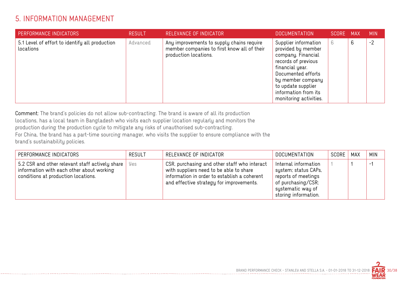#### 5. INFORMATION MANAGEMENT

| PERFORMANCE INDICATORS                                      | <b>RESULT</b> | RELEVANCE OF INDICATOR                                                                                            | DOCUMENTATION ,                                                                                                                                                                                                               | SCORE MAX |   | <b>MIN</b> |
|-------------------------------------------------------------|---------------|-------------------------------------------------------------------------------------------------------------------|-------------------------------------------------------------------------------------------------------------------------------------------------------------------------------------------------------------------------------|-----------|---|------------|
| 5.1 Level of effort to identify all production<br>locations | Advanced      | Any improvements to supply chains require<br>member companies to first know all of their<br>production locations. | Supplier information<br>provided by member<br>company. Financial<br>records of previous<br>financial year.<br>Documented efforts<br>by member company<br>to update supplier<br>information from its<br>monitoring activities. | 6         | 6 | $-2$       |

Comment: The brand's policies do not allow sub-contracting. The brand is aware of all its production locations, has a local team in Bangladesh who visits each supplier location regularly and monitors the production during the production cycle to mitigate any risks of unauthorised sub-contracting. For China, the brand has a part-time sourcing manager, who visits the supplier to ensure compliance with the brand's sustainability policies.

| PERFORMANCE INDICATORS                                                                                                              | <b>RESULT</b> | RELEVANCE OF INDICATOR                                                                                                                                                              | DOCUMENTATION                                                                                                                          | SCORE | MAX | <b>MIN</b>                |
|-------------------------------------------------------------------------------------------------------------------------------------|---------------|-------------------------------------------------------------------------------------------------------------------------------------------------------------------------------------|----------------------------------------------------------------------------------------------------------------------------------------|-------|-----|---------------------------|
| 5.2 CSR and other relevant staff actively share<br>information with each other about working<br>conditions at production locations. | Yes           | CSR, purchasing and other staff who interact<br>with suppliers need to be able to share<br>information in order to establish a coherent<br>and effective strategy for improvements. | Internal information<br>system; status CAPs,<br>reports of meetings<br>of purchasing/CSR;<br>systematic way of<br>storing information. |       |     | $ \overline{\phantom{a}}$ |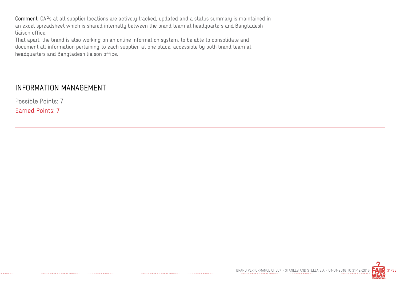Comment: CAPs at all supplier locations are actively tracked, updated and a status summary is maintained in an excel spreadsheet which is shared internally between the brand team at headquarters and Bangladesh liaison office.

That apart, the brand is also working on an online information system, to be able to consolidate and document all information pertaining to each supplier, at one place, accessible by both brand team at headquarters and Bangladesh liaison office.

#### INFORMATION MANAGEMENT

Possible Points: 7

Earned Points: 7

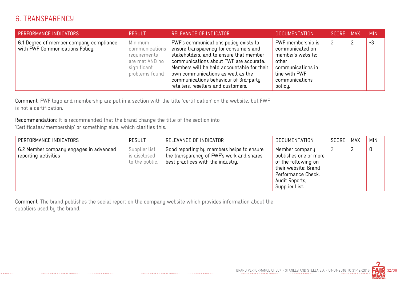#### 6. TRANSPARENCY

| <b>PERFORMANCE INDICATORS</b>                                              | <b>RESULT</b>                                                                                  | RELEVANCE OF INDICATOR                                                                                                                                                                                                                                                                                                                 | <b>DOCUMENTATION</b>                                                                                                                  | SCORE | MAX | <b>MIN</b> |
|----------------------------------------------------------------------------|------------------------------------------------------------------------------------------------|----------------------------------------------------------------------------------------------------------------------------------------------------------------------------------------------------------------------------------------------------------------------------------------------------------------------------------------|---------------------------------------------------------------------------------------------------------------------------------------|-------|-----|------------|
| 6.1 Degree of member company compliance<br>with FWF Communications Policy. | Minimum<br>communications  <br>requirements<br>are met AND no<br>significant<br>problems found | FWF's communications policy exists to<br>ensure transparency for consumers and<br>stakeholders, and to ensure that member<br>communications about FWF are accurate.<br>Members will be held accountable for their<br>own communications as well as the<br>communications behaviour of 3rd-party<br>retailers, resellers and customers. | FWF membership is<br>communicated on<br>member's website;<br>other<br>communications in<br>line with FWF<br>communications<br>policy. |       |     | $-3$       |

Comment: FWF logo and membership are put in a section with the title 'certification' on the website, but FWF is not a certification.

Recommendation: It is recommended that the brand change the title of the section into 'Certificates/membership' or something else, which clarifies this.

| PERFORMANCE INDICATORS                                         | <b>RESULT</b>                                   | RELEVANCE OF INDICATOR                                                                                                      | DOCUMENTATION                                                                                                                                    | SCORE | MAX | <b>MIN</b>  |
|----------------------------------------------------------------|-------------------------------------------------|-----------------------------------------------------------------------------------------------------------------------------|--------------------------------------------------------------------------------------------------------------------------------------------------|-------|-----|-------------|
| 6.2 Member company engages in advanced<br>reporting activities | Supplier list<br>is disclosed<br>to the public. | Good reporting by members helps to ensure<br>the transparency of FWF's work and shares<br>best practices with the industry. | Member company<br>publishes one or more<br>of the following on<br>their website: Brand<br>Performance Check,<br>Audit Reports,<br>Supplier List. |       |     | $\mathbf 0$ |

Comment: The brand publishes the social report on the company website which provides information about the suppliers used by the brand.

---*--------------------------*-

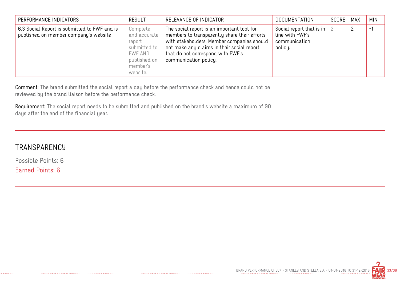| PERFORMANCE INDICATORS                                                                | <b>RESULT</b>                                                                                         | RELEVANCE OF INDICATOR                                                                                                                                                                                                                               | <b>DOCUMENTATION</b>                                                              | SCORE | MAX | <b>MIN</b> |
|---------------------------------------------------------------------------------------|-------------------------------------------------------------------------------------------------------|------------------------------------------------------------------------------------------------------------------------------------------------------------------------------------------------------------------------------------------------------|-----------------------------------------------------------------------------------|-------|-----|------------|
| 6.3 Social Report is submitted to FWF and is<br>published on member company's website | Complete<br>and accurate<br>report<br>submitted to<br>FWF AND<br>published on<br>member's<br>website. | The social report is an important tool for<br>members to transparently share their efforts<br>with stakeholders. Member companies should<br>not make any claims in their social report<br>that do not correspond with FWF's<br>communication policy. | Social report that is in $\vert$ 2<br>line with FWF's<br>communication<br>policy. |       |     | $-1$       |

Comment: The brand submitted the social report a day before the performance check and hence could not be reviewed by the brand liaison before the performance check.

Requirement: The social report needs to be submitted and published on the brand's website a maximum of 90 days after the end of the financial year.

#### **TRANSPARENCY**

Possible Points: 6 Earned Points: 6

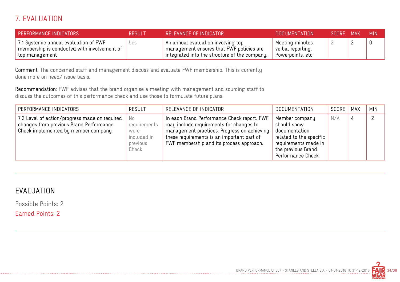## 7. EVALUATION

| PERFORMANCE INDICATORS                                                                                 | <b>RESULT</b> | RELEVANCE OF INDICATOR                                                                                                                            | <b>DOCUMENTATION</b>                                       | SCORE MAX |          | - MIN |
|--------------------------------------------------------------------------------------------------------|---------------|---------------------------------------------------------------------------------------------------------------------------------------------------|------------------------------------------------------------|-----------|----------|-------|
| 7.1 Systemic annual evaluation of FWF<br>membership is conducted with involvement of<br>top management | yes           | An annual evaluation involving top<br>$^\circ$ management ensures that FWF policies are $^\circ$<br>integrated into the structure of the company. | Meeting minutes,<br>verbal reporting,<br>Powerpoints, etc. |           | <u>_</u> |       |

Comment: The concerned staff and management discuss and evaluate FWF membership. This is currently done more on need/ issue basis.

Recommendation: FWF advises that the brand organise a meeting with management and sourcing staff to discuss the outcomes of this performance check and use those to formulate future plans.

| PERFORMANCE INDICATORS                                                                                                           | <b>RESULT</b>                                                  | RELEVANCE OF INDICATOR                                                                                                                                                                                                          | <b>DOCUMENTATION</b>                                                                                                                          | SCORE | MAX | <b>MIN</b> |
|----------------------------------------------------------------------------------------------------------------------------------|----------------------------------------------------------------|---------------------------------------------------------------------------------------------------------------------------------------------------------------------------------------------------------------------------------|-----------------------------------------------------------------------------------------------------------------------------------------------|-------|-----|------------|
| 7.2 Level of action/progress made on required<br>changes from previous Brand Performance<br>Check implemented by member company. | No<br>requirements<br>were<br>included in<br>previous<br>Check | In each Brand Performance Check report, FWF<br>may include requirements for changes to<br>management practices. Progress on achieving<br>these requirements is an important part of<br>FWF membership and its process approach. | Member company<br>should show<br>documentation<br>related to the specific<br>requirements made in<br>the previous Brand<br>Performance Check. | N/A   | 4   | $-2$       |

## EVALUATION

Possible Points: 2

Earned Points: 2

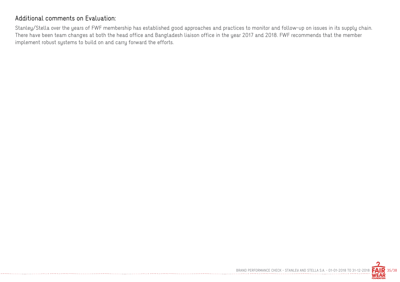#### Additional comments on Evaluation:

Stanley/Stella over the years of FWF membership has established good approaches and practices to monitor and follow-up on issues in its supply chain. There have been team changes at both the head office and Bangladesh liaison office in the year 2017 and 2018. FWF recommends that the member implement robust systems to build on and carry forward the efforts.



BRAND PERFORMANCE CHECK - STANLEY AND STELLA S.A. - 01-01-2018 TO 31-12-2018  $\mathsf{FAR}$  35/38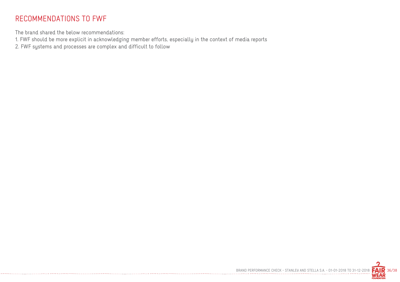#### RECOMMENDATIONS TO FWF

The brand shared the below recommendations:

1. FWF should be more explicit in acknowledging member efforts, especially in the context of media reports

2. FWF systems and processes are complex and difficult to follow

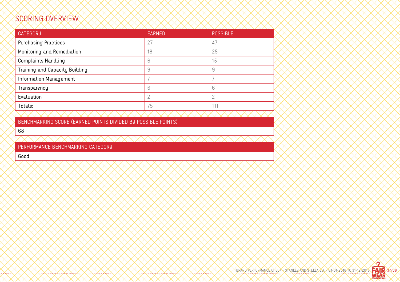## SCORING OVERVIEW

| <b>CATEGORY</b>                | <b>EARNED</b>  | <b>POSSIBLE</b> |
|--------------------------------|----------------|-----------------|
| <b>Purchasing Practices</b>    | 27             | 47              |
| Monitoring and Remediation     | 18             | 25              |
| <b>Complaints Handling</b>     | 6              | 15              |
| Training and Capacity Building | 9              | 9               |
| Information Management         |                |                 |
| Transparency                   | 6              | 6               |
| Evaluation                     | $\overline{2}$ | 2               |
| Totals:                        | 75             | 111             |
|                                |                |                 |

BENCHMARKING SCORE (EARNED POINTS DIVIDED BY POSSIBLE POINTS)

68

PERFORMANCE BENCHMARKING CATEGORY

Good